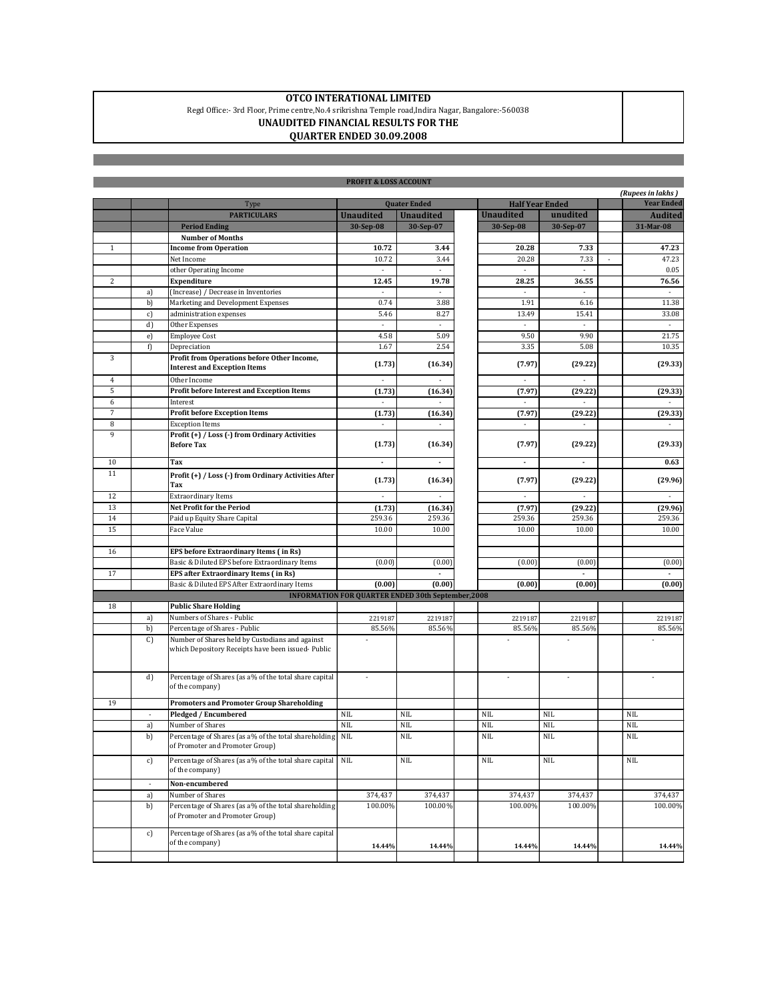## **OTCO INTERATIONAL LIMITED**

Regd Office:- 3rd Floor, Prime centre,No.4 srikrishna Temple road,Indira Nagar, Bangalore:-560038

**UNAUDITED FINANCIAL RESULTS FOR THE**

## **QUARTER ENDED 30.09.2008**

|                                                           |                          |                                                                                                       | <b>PROFIT &amp; LOSS ACCOUNT</b> |                  |  |                        |            |  |                                        |
|-----------------------------------------------------------|--------------------------|-------------------------------------------------------------------------------------------------------|----------------------------------|------------------|--|------------------------|------------|--|----------------------------------------|
|                                                           |                          |                                                                                                       | <b>Quater Ended</b>              |                  |  | <b>Half Year Ended</b> |            |  | (Rupees in lakhs)<br><b>Year Ended</b> |
|                                                           |                          | Type<br><b>PARTICULARS</b>                                                                            | <b>Unaudited</b>                 | <b>Unaudited</b> |  | <b>Unaudited</b>       | unudited   |  | <b>Audited</b>                         |
|                                                           |                          | <b>Period Ending</b>                                                                                  | 30-Sep-08                        | 30-Sep-07        |  | 30-Sep-08              | 30-Sep-07  |  | 31-Mar-08                              |
|                                                           |                          | <b>Number of Months</b>                                                                               |                                  |                  |  |                        |            |  |                                        |
| $\mathbf{1}$                                              |                          | <b>Income from Operation</b>                                                                          | 10.72                            | 3.44             |  | 20.28                  | 7.33       |  | 47.23                                  |
|                                                           |                          | Net Income                                                                                            | 10.72                            | 3.44             |  | 20.28                  | 7.33       |  | 47.23                                  |
|                                                           |                          | other Operating Income                                                                                |                                  |                  |  |                        |            |  | 0.05                                   |
| $\overline{c}$                                            |                          | Expenditure                                                                                           | 12.45                            | 19.78            |  | 28.25                  | 36.55      |  | 76.56                                  |
|                                                           | a)                       | (Increase) / Decrease in Inventories                                                                  |                                  |                  |  |                        |            |  |                                        |
|                                                           | b)                       | Marketing and Development Expenses                                                                    | 0.74                             | 3.88             |  | 1.91                   | 6.16       |  | 11.38                                  |
|                                                           | c)                       | administration expenses                                                                               | 5.46                             | 8.27             |  | 13.49                  | 15.41      |  | 33.08                                  |
|                                                           | d)                       | Other Expenses                                                                                        | ×                                |                  |  | ×                      | ٠          |  |                                        |
|                                                           | e)                       | <b>Employee Cost</b>                                                                                  | 4.58                             | 5.09             |  | 9.50                   | 9.90       |  | 21.75                                  |
|                                                           | f)                       | Depreciation                                                                                          | 1.67                             | 2.54             |  | 3.35                   | 5.08       |  | 10.35                                  |
| 3                                                         |                          | Profit from Operations before Other Income,<br><b>Interest and Exception Items</b>                    | (1.73)                           | (16.34)          |  | (7.97)                 | (29.22)    |  | (29.33)                                |
| 4                                                         |                          | Other Income                                                                                          |                                  |                  |  |                        |            |  |                                        |
| 5                                                         |                          | Profit before Interest and Exception Items                                                            | (1.73)                           | (16.34)          |  | (7.97)                 | (29.22)    |  | (29.33)                                |
| 6                                                         |                          | Interest                                                                                              |                                  |                  |  |                        |            |  |                                        |
| $\overline{7}$                                            |                          | <b>Profit before Exception Items</b>                                                                  | (1.73)                           | (16.34)          |  | (7.97)                 | (29.22)    |  | (29.33)                                |
| 8                                                         |                          | <b>Exception Items</b>                                                                                | $\overline{\phantom{a}}$         |                  |  | $\blacksquare$         | ä,         |  |                                        |
| 9                                                         |                          | Profit (+) / Loss (-) from Ordinary Activities<br><b>Before Tax</b>                                   | (1.73)                           | (16.34)          |  | (7.97)                 | (29.22)    |  | (29.33)                                |
| 10                                                        |                          | Tax                                                                                                   |                                  |                  |  | ٠                      |            |  | 0.63                                   |
| 11                                                        |                          | Profit (+) / Loss (-) from Ordinary Activities After<br>Tax                                           | (1.73)                           | (16.34)          |  | (7.97)                 | (29.22)    |  | (29.96)                                |
| 12                                                        |                          | <b>Extraordinary Items</b>                                                                            |                                  |                  |  |                        |            |  |                                        |
| 13                                                        |                          | <b>Net Profit for the Period</b>                                                                      | (1.73)                           | (16.34)          |  | (7.97)                 | (29.22)    |  | (29.96)                                |
| 14                                                        |                          | Paid up Equity Share Capital                                                                          | 259.36                           | 259.36           |  | 259.36                 | 259.36     |  | 259.36                                 |
| 15                                                        |                          | Face Value                                                                                            | 10.00                            | 10.00            |  | 10.00                  | 10.00      |  | 10.00                                  |
|                                                           |                          |                                                                                                       |                                  |                  |  |                        |            |  |                                        |
| 16                                                        |                          | EPS before Extraordinary Items (in Rs)                                                                |                                  |                  |  |                        |            |  |                                        |
|                                                           |                          | Basic & Diluted EPS before Extraordinary Items                                                        | (0.00)                           | (0.00)           |  | (0.00)                 | (0.00)     |  | (0.00)                                 |
| 17                                                        |                          | EPS after Extraordinary Items (in Rs)                                                                 |                                  |                  |  |                        |            |  |                                        |
|                                                           |                          | Basic & Diluted EPS After Extraordinary Items                                                         | (0.00)                           | (0.00)           |  | (0.00)                 | (0.00)     |  | (0.00)                                 |
| <b>INFORMATION FOR QUARTER ENDED 30th September, 2008</b> |                          |                                                                                                       |                                  |                  |  |                        |            |  |                                        |
| 18                                                        |                          | <b>Public Share Holding</b>                                                                           |                                  |                  |  |                        |            |  |                                        |
|                                                           | a)                       | Numbers of Shares - Public                                                                            | 2219187                          | 2219187          |  | 2219187                | 2219187    |  | 2219187                                |
|                                                           | b)                       | Percentage of Shares - Public                                                                         | 85.56%                           | 85.56%           |  | 85.56%                 | 85.56%     |  | 85.56%                                 |
|                                                           | C                        | Number of Shares held by Custodians and against<br>which Depository Receipts have been issued- Public |                                  |                  |  |                        |            |  |                                        |
|                                                           | d)                       | Percentage of Shares (as a% of the total share capital<br>of the company)                             | ×                                |                  |  | ä,                     |            |  |                                        |
| 19                                                        |                          | <b>Promoters and Promoter Group Shareholding</b>                                                      |                                  |                  |  |                        |            |  |                                        |
|                                                           | $\overline{\phantom{a}}$ | Pledged / Encumbered                                                                                  | <b>NIL</b>                       | <b>NIL</b>       |  | <b>NIL</b>             | <b>NIL</b> |  | <b>NIL</b>                             |
|                                                           | a)                       | Number of Shares                                                                                      | <b>NIL</b>                       | <b>NIL</b>       |  | <b>NIL</b>             | <b>NIL</b> |  | <b>NIL</b>                             |
|                                                           | b)                       | Percentage of Shares (as a% of the total shareholding<br>of Promoter and Promoter Group)              | NIL                              | <b>NIL</b>       |  | <b>NIL</b>             | <b>NIL</b> |  | <b>NIL</b>                             |
|                                                           | c)                       | Percentage of Shares (as a% of the total share capital<br>of the company)                             | <b>NIL</b>                       | <b>NIL</b>       |  | <b>NIL</b>             | <b>NIL</b> |  | $\rm NIL$                              |
|                                                           | $\omega$                 | Non-encumbered                                                                                        |                                  |                  |  |                        |            |  |                                        |
|                                                           | a)                       | Number of Shares                                                                                      | 374,437                          | 374,437          |  | 374,437                | 374,437    |  | 374,437                                |
|                                                           | b)                       | Percentage of Shares (as a% of the total shareholding<br>of Promoter and Promoter Group)              | 100.00%                          | 100.00%          |  | 100.00%                | 100.00%    |  | 100.00%                                |
|                                                           | c)                       | Percentage of Shares (as a% of the total share capital<br>of the company)                             | 14.44%                           | 14.44%           |  | 14.44%                 | 14.44%     |  | 14.44%                                 |
|                                                           |                          |                                                                                                       |                                  |                  |  |                        |            |  |                                        |